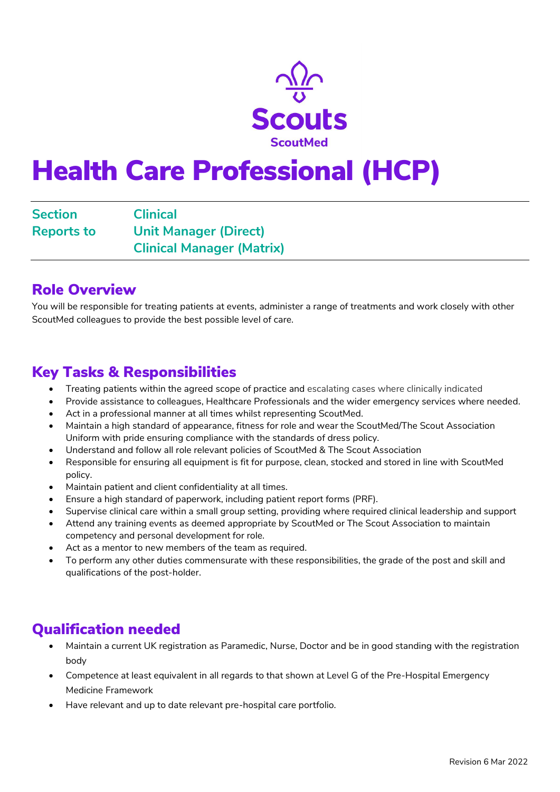

# Health Care Professional (HCP)

Section Clinical Reports to Unit Manager (Direct) Clinical Manager (Matrix)

### Role Overview

You will be responsible for treating patients at events, administer a range of treatments and work closely with other ScoutMed colleagues to provide the best possible level of care.

### Key Tasks & Responsibilities

- Treating patients within the agreed scope of practice and escalating cases where clinically indicated
- Provide assistance to colleagues, Healthcare Professionals and the wider emergency services where needed.
- Act in a professional manner at all times whilst representing ScoutMed.
- Maintain a high standard of appearance, fitness for role and wear the ScoutMed/The Scout Association Uniform with pride ensuring compliance with the standards of dress policy.
- Understand and follow all role relevant policies of ScoutMed & The Scout Association
- Responsible for ensuring all equipment is fit for purpose, clean, stocked and stored in line with ScoutMed policy.
- Maintain patient and client confidentiality at all times.
- Ensure a high standard of paperwork, including patient report forms (PRF).
- Supervise clinical care within a small group setting, providing where required clinical leadership and support
- Attend any training events as deemed appropriate by ScoutMed or The Scout Association to maintain competency and personal development for role.
- Act as a mentor to new members of the team as required.
- To perform any other duties commensurate with these responsibilities, the grade of the post and skill and qualifications of the post-holder.

### Qualification needed

- Maintain a current UK registration as Paramedic, Nurse, Doctor and be in good standing with the registration body
- Competence at least equivalent in all regards to that shown at Level G of the Pre-Hospital Emergency Medicine Framework
- Have relevant and up to date relevant pre-hospital care portfolio.